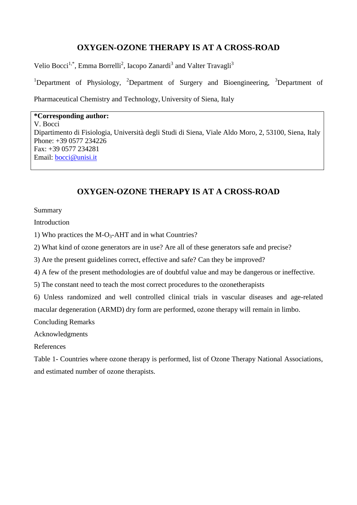## **OXYGEN-OZONE THERAPY IS AT A CROSS-ROAD**

Velio Bocci<sup>1,\*</sup>, Emma Borrelli<sup>2</sup>, Iacopo Zanardi<sup>3</sup> and Valter Travagli<sup>3</sup>

<sup>1</sup>Department of Physiology, <sup>2</sup>Department of Surgery and Bioengineering, <sup>3</sup>Department of Pharmaceutical Chemistry and Technology, University of Siena, Italy

**\*Corresponding author:** V. Bocci Dipartimento di Fisiologia, Università degli Studi di Siena, Viale Aldo Moro, 2, 53100, Siena, Italy Phone: +39 0577 234226 Fax: +39 0577 234281 Email: [bocci@unisi.it](mailto:bocci@unisi.it)

# **OXYGEN-OZONE THERAPY IS AT A CROSS-ROAD**

Summary

Introduction

1) Who practices the M-O<sub>3</sub>-AHT and in what Countries?

2) What kind of ozone generators are in use? Are all of these generators safe and precise?

3) Are the present guidelines correct, effective and safe? Can they be improved?

4) A few of the present methodologies are of doubtful value and may be dangerous or ineffective.

5) The constant need to teach the most correct procedures to the ozonetherapists

6) Unless randomized and well controlled clinical trials in vascular diseases and age-related macular degeneration (ARMD) dry form are performed, ozone therapy will remain in limbo.

Concluding Remarks

Acknowledgments

References

Table 1- Countries where ozone therapy is performed, list of Ozone Therapy National Associations, and estimated number of ozone therapists.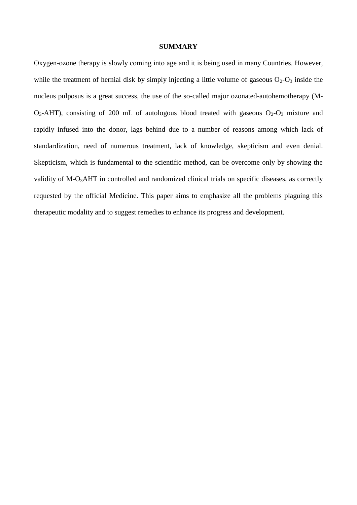## **SUMMARY**

Oxygen-ozone therapy is slowly coming into age and it is being used in many Countries. However, while the treatment of hernial disk by simply injecting a little volume of gaseous  $O_2-O_3$  inside the nucleus pulposus is a great success, the use of the so-called major ozonated-autohemotherapy (M- $O_3$ -AHT), consisting of 200 mL of autologous blood treated with gaseous  $O_2-O_3$  mixture and rapidly infused into the donor, lags behind due to a number of reasons among which lack of standardization, need of numerous treatment, lack of knowledge, skepticism and even denial. Skepticism, which is fundamental to the scientific method, can be overcome only by showing the validity of M-O<sub>3</sub>AHT in controlled and randomized clinical trials on specific diseases, as correctly requested by the official Medicine. This paper aims to emphasize all the problems plaguing this therapeutic modality and to suggest remedies to enhance its progress and development.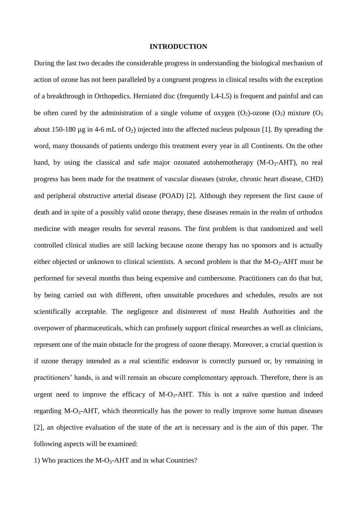#### **INTRODUCTION**

During the last two decades the considerable progress in understanding the biological mechanism of action of ozone has not been paralleled by a congruent progress in clinical results with the exception of a breakthrough in Orthopedics. Herniated disc (frequently L4-L5) is frequent and painful and can be often cured by the administration of a single volume of oxygen  $(O_2)$ -ozone  $(O_3)$  mixture  $(O_3)$ about 150-180  $\mu$ g in 4-6 mL of O<sub>2</sub>) injected into the affected nucleus pulposus [1]. By spreading the word, many thousands of patients undergo this treatment every year in all Continents. On the other hand, by using the classical and safe major ozonated autohemotherapy  $(M-O<sub>3</sub>-AHT)$ , no real progress has been made for the treatment of vascular diseases (stroke, chronic heart disease, CHD) and peripheral obstructive arterial disease (POAD) [2]. Although they represent the first cause of death and in spite of a possibly valid ozone therapy, these diseases remain in the realm of orthodox medicine with meager results for several reasons. The first problem is that randomized and well controlled clinical studies are still lacking because ozone therapy has no sponsors and is actually either objected or unknown to clinical scientists. A second problem is that the  $M-O_3$ -AHT must be performed for several months thus being expensive and cumbersome. Practitioners can do that but, by being carried out with different, often unsuitable procedures and schedules, results are not scientifically acceptable. The negligence and disinterest of most Health Authorities and the overpower of pharmaceuticals, which can profusely support clinical researches as well as clinicians, represent one of the main obstacle for the progress of ozone therapy. Moreover, a crucial question is if ozone therapy intended as a real scientific endeavor is correctly pursued or, by remaining in practitioners' hands, is and will remain an obscure complementary approach. Therefore, there is an urgent need to improve the efficacy of  $M-O_3$ -AHT. This is not a naïve question and indeed regarding M-O<sub>3</sub>-AHT, which theoretically has the power to really improve some human diseases [2], an objective evaluation of the state of the art is necessary and is the aim of this paper. The following aspects will be examined:

1) Who practices the  $M-O<sub>3</sub>$ -AHT and in what Countries?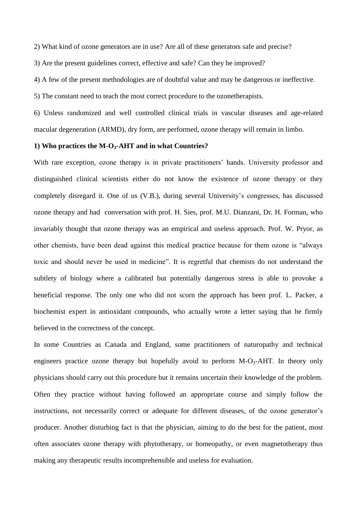2) What kind of ozone generators are in use? Are all of these generators safe and precise?

3) Are the present guidelines correct, effective and safe? Can they be improved?

4) A few of the present methodologies are of doubtful value and may be dangerous or ineffective.

5) The constant need to teach the most correct procedure to the ozonetherapists.

6) Unless randomized and well controlled clinical trials in vascular diseases and age-related macular degeneration (ARMD), dry form, are performed, ozone therapy will remain in limbo.

### **1) Who practices the M-O3-AHT and in what Countries?**

With rare exception, ozone therapy is in private practitioners' hands. University professor and distinguished clinical scientists either do not know the existence of ozone therapy or they completely disregard it. One of us (V.B.), during several University's congresses, has discussed ozone therapy and had conversation with prof. H. Sies, prof. M.U. Dianzani, Dr. H. Forman, who invariably thought that ozone therapy was an empirical and useless approach. Prof. W. Pryor, as other chemists, have been dead against this medical practice because for them ozone is "always toxic and should never be used in medicine". It is regretful that chemists do not understand the subtlety of biology where a calibrated but potentially dangerous stress is able to provoke a beneficial response. The only one who did not scorn the approach has been prof. L. Packer, a biochemist expert in antioxidant compounds, who actually wrote a letter saying that he firmly believed in the correctness of the concept.

In some Countries as Canada and England, some practitioners of naturopathy and technical engineers practice ozone therapy but hopefully avoid to perform  $M-O_3-AHT$ . In theory only physicians should carry out this procedure but it remains uncertain their knowledge of the problem. Often they practice without having followed an appropriate course and simply follow the instructions, not necessarily correct or adequate for different diseases, of the ozone generator's producer. Another disturbing fact is that the physician, aiming to do the best for the patient, most often associates ozone therapy with phytotherapy, or homeopathy, or even magnetotherapy thus making any therapeutic results incomprehensible and useless for evaluation.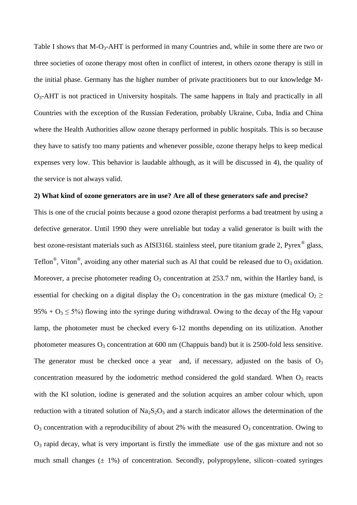Table I shows that M-O<sub>3</sub>-AHT is performed in many Countries and, while in some there are two or three societies of ozone therapy most often in conflict of interest, in others ozone therapy is still in the initial phase. Germany has the higher number of private practitioners but to our knowledge M-O3-AHT is not practiced in University hospitals. The same happens in Italy and practically in all Countries with the exception of the Russian Federation, probably Ukraine, Cuba, India and China where the Health Authorities allow ozone therapy performed in public hospitals. This is so because they have to satisfy too many patients and whenever possible, ozone therapy helps to keep medical expenses very low. This behavior is laudable although, as it will be discussed in 4), the quality of the service is not always valid.

## **2) What kind of ozone generators are in use? Are all of these generators safe and precise?**

This is one of the crucial points because a good ozone therapist performs a bad treatment by using a defective generator. Until 1990 they were unreliable but today a valid generator is built with the best ozone-resistant materials such as AISI316L stainless steel, pure titanium grade 2, Pyrex<sup>®</sup> glass, Teflon<sup>®</sup>, Viton<sup>®</sup>, avoiding any other material such as Al that could be released due to O<sub>3</sub> oxidation. Moreover, a precise photometer reading  $O_3$  concentration at 253.7 nm, within the Hartley band, is essential for checking on a digital display the  $O_3$  concentration in the gas mixture (medical  $O_2 \geq$  $95\% + O_3 \leq 5\%$ ) flowing into the syringe during withdrawal. Owing to the decay of the Hg vapour lamp, the photometer must be checked every 6-12 months depending on its utilization. Another photometer measures  $O_3$  concentration at 600 nm (Chappuis band) but it is 2500-fold less sensitive. The generator must be checked once a year and, if necessary, adjusted on the basis of  $O_3$ concentration measured by the iodometric method considered the gold standard. When  $O_3$  reacts with the KI solution, iodine is generated and the solution acquires an amber colour which, upon reduction with a titrated solution of  $Na<sub>2</sub>S<sub>2</sub>O<sub>3</sub>$  and a starch indicator allows the determination of the  $O_3$  concentration with a reproducibility of about 2% with the measured  $O_3$  concentration. Owing to  $O_3$  rapid decay, what is very important is firstly the immediate use of the gas mixture and not so much small changes  $(\pm 1\%)$  of concentration. Secondly, polypropylene, silicon–coated syringes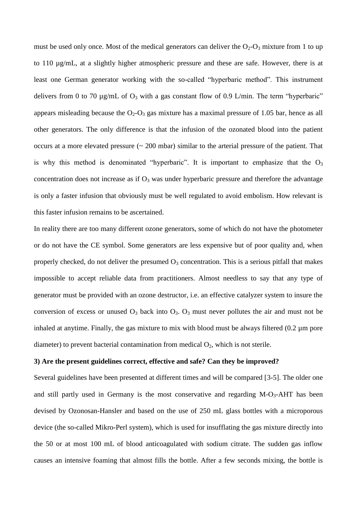must be used only once. Most of the medical generators can deliver the  $O_2-O_3$  mixture from 1 to up to 110 µg/mL, at a slightly higher atmospheric pressure and these are safe. However, there is at least one German generator working with the so-called "hyperbaric method". This instrument delivers from 0 to 70  $\mu$ g/mL of O<sub>3</sub> with a gas constant flow of 0.9 L/min. The term "hyperbaric" appears misleading because the  $O_2-O_3$  gas mixture has a maximal pressure of 1.05 bar, hence as all other generators. The only difference is that the infusion of the ozonated blood into the patient occurs at a more elevated pressure (~ 200 mbar) similar to the arterial pressure of the patient. That is why this method is denominated "hyperbaric". It is important to emphasize that the  $O_3$ concentration does not increase as if  $O_3$  was under hyperbaric pressure and therefore the advantage is only a faster infusion that obviously must be well regulated to avoid embolism. How relevant is this faster infusion remains to be ascertained.

In reality there are too many different ozone generators, some of which do not have the photometer or do not have the CE symbol. Some generators are less expensive but of poor quality and, when properly checked, do not deliver the presumed  $O_3$  concentration. This is a serious pitfall that makes impossible to accept reliable data from practitioners. Almost needless to say that any type of generator must be provided with an ozone destructor, i.e. an effective catalyzer system to insure the conversion of excess or unused  $O_3$  back into  $O_3$ .  $O_3$  must never pollutes the air and must not be inhaled at anytime. Finally, the gas mixture to mix with blood must be always filtered (0.2 um pore diameter) to prevent bacterial contamination from medical  $O_2$ , which is not sterile.

## **3) Are the present guidelines correct, effective and safe? Can they be improved?**

Several guidelines have been presented at different times and will be compared [3-5]. The older one and still partly used in Germany is the most conservative and regarding  $M-O<sub>3</sub>-AHT$  has been devised by Ozonosan-Hansler and based on the use of 250 mL glass bottles with a microporous device (the so-called Mikro-Perl system), which is used for insufflating the gas mixture directly into the 50 or at most 100 mL of blood anticoagulated with sodium citrate. The sudden gas inflow causes an intensive foaming that almost fills the bottle. After a few seconds mixing, the bottle is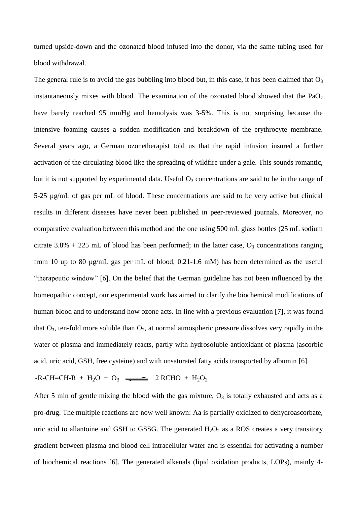turned upside-down and the ozonated blood infused into the donor, via the same tubing used for blood withdrawal.

The general rule is to avoid the gas bubbling into blood but, in this case, it has been claimed that  $O_3$ instantaneously mixes with blood. The examination of the ozonated blood showed that the  $PaO<sub>2</sub>$ have barely reached 95 mmHg and hemolysis was 3-5%. This is not surprising because the intensive foaming causes a sudden modification and breakdown of the erythrocyte membrane. Several years ago, a German ozonetherapist told us that the rapid infusion insured a further activation of the circulating blood like the spreading of wildfire under a gale. This sounds romantic, but it is not supported by experimental data. Useful  $O_3$  concentrations are said to be in the range of 5-25 µg/mL of gas per mL of blood. These concentrations are said to be very active but clinical results in different diseases have never been published in peer-reviewed journals. Moreover, no comparative evaluation between this method and the one using 500 mL glass bottles (25 mL sodium citrate  $3.8\%$  + 225 mL of blood has been performed; in the latter case,  $O_3$  concentrations ranging from 10 up to 80 µg/mL gas per mL of blood, 0.21-1.6 mM) has been determined as the useful "therapeutic window" [6]. On the belief that the German guideline has not been influenced by the homeopathic concept, our experimental work has aimed to clarify the biochemical modifications of human blood and to understand how ozone acts. In line with a previous evaluation [7], it was found that  $O_3$ , ten-fold more soluble than  $O_2$ , at normal atmospheric pressure dissolves very rapidly in the water of plasma and immediately reacts, partly with hydrosoluble antioxidant of plasma (ascorbic acid, uric acid, GSH, free cysteine) and with unsaturated fatty acids transported by albumin [6].

## $-R-CH=CH-R + H<sub>2</sub>O + O<sub>3</sub>$   $\longrightarrow$  2 RCHO + H<sub>2</sub>O<sub>2</sub>

After 5 min of gentle mixing the blood with the gas mixture,  $O_3$  is totally exhausted and acts as a pro-drug. The multiple reactions are now well known: Aa is partially oxidized to dehydroascorbate, uric acid to allantoine and GSH to GSSG. The generated  $H_2O_2$  as a ROS creates a very transitory gradient between plasma and blood cell intracellular water and is essential for activating a number of biochemical reactions [6]. The generated alkenals (lipid oxidation products, LOPs), mainly 4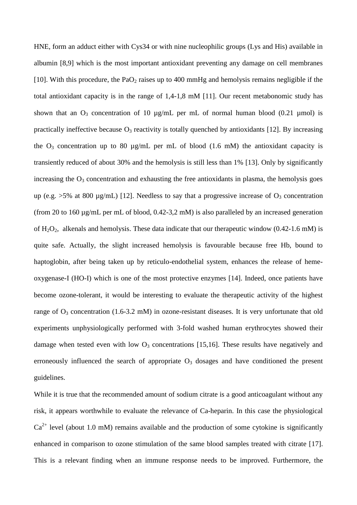HNE, form an adduct either with Cys34 or with nine nucleophilic groups (Lys and His) available in albumin [8,9] which is the most important antioxidant preventing any damage on cell membranes [10]. With this procedure, the  $PaO<sub>2</sub>$  raises up to 400 mmHg and hemolysis remains negligible if the total antioxidant capacity is in the range of 1,4-1,8 mM [11]. Our recent metabonomic study has shown that an  $O_3$  concentration of 10  $\mu$ g/mL per mL of normal human blood (0.21  $\mu$ mol) is practically ineffective because  $O_3$  reactivity is totally quenched by antioxidants [12]. By increasing the  $O_3$  concentration up to 80 µg/mL per mL of blood (1.6 mM) the antioxidant capacity is transiently reduced of about 30% and the hemolysis is still less than 1% [13]. Only by significantly increasing the  $O_3$  concentration and exhausting the free antioxidants in plasma, the hemolysis goes up (e.g.  $>5\%$  at 800 µg/mL) [12]. Needless to say that a progressive increase of O<sub>3</sub> concentration (from 20 to 160 µg/mL per mL of blood, 0.42-3,2 mM) is also paralleled by an increased generation of  $H_2O_2$ , alkenals and hemolysis. These data indicate that our therapeutic window (0.42-1.6 mM) is quite safe. Actually, the slight increased hemolysis is favourable because free Hb, bound to haptoglobin, after being taken up by reticulo-endothelial system, enhances the release of hemeoxygenase-I (HO-I) which is one of the most protective enzymes [14]. Indeed, once patients have become ozone-tolerant, it would be interesting to evaluate the therapeutic activity of the highest range of  $O_3$  concentration (1.6-3.2 mM) in ozone-resistant diseases. It is very unfortunate that old experiments unphysiologically performed with 3-fold washed human erythrocytes showed their damage when tested even with low  $O_3$  concentrations [15,16]. These results have negatively and erroneously influenced the search of appropriate  $O_3$  dosages and have conditioned the present guidelines.

While it is true that the recommended amount of sodium citrate is a good anticoagulant without any risk, it appears worthwhile to evaluate the relevance of Ca-heparin. In this case the physiological  $Ca<sup>2+</sup>$  level (about 1.0 mM) remains available and the production of some cytokine is significantly enhanced in comparison to ozone stimulation of the same blood samples treated with citrate [17]. This is a relevant finding when an immune response needs to be improved. Furthermore, the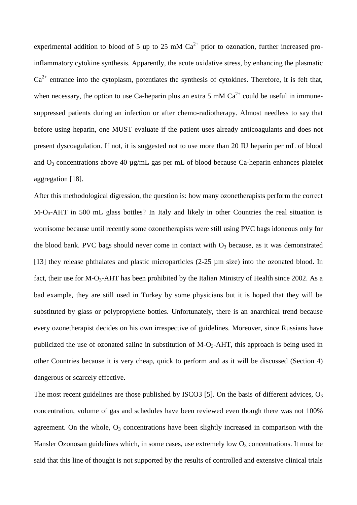experimental addition to blood of 5 up to 25 mM  $Ca^{2+}$  prior to ozonation, further increased proinflammatory cytokine synthesis. Apparently, the acute oxidative stress, by enhancing the plasmatic  $Ca^{2+}$  entrance into the cytoplasm, potentiates the synthesis of cytokines. Therefore, it is felt that, when necessary, the option to use Ca-heparin plus an extra 5 mM  $Ca<sup>2+</sup>$  could be useful in immunesuppressed patients during an infection or after chemo-radiotherapy. Almost needless to say that before using heparin, one MUST evaluate if the patient uses already anticoagulants and does not present dyscoagulation. If not, it is suggested not to use more than 20 IU heparin per mL of blood and  $O_3$  concentrations above 40  $\mu$ g/mL gas per mL of blood because Ca-heparin enhances platelet aggregation [18].

After this methodological digression, the question is: how many ozonetherapists perform the correct M-O3-AHT in 500 mL glass bottles? In Italy and likely in other Countries the real situation is worrisome because until recently some ozonetherapists were still using PVC bags idoneous only for the blood bank. PVC bags should never come in contact with  $O_3$  because, as it was demonstrated [13] they release phthalates and plastic microparticles (2-25 µm size) into the ozonated blood. In fact, their use for M-O<sub>3</sub>-AHT has been prohibited by the Italian Ministry of Health since 2002. As a bad example, they are still used in Turkey by some physicians but it is hoped that they will be substituted by glass or polypropylene bottles. Unfortunately, there is an anarchical trend because every ozonetherapist decides on his own irrespective of guidelines. Moreover, since Russians have publicized the use of ozonated saline in substitution of  $M-O_3-AHT$ , this approach is being used in other Countries because it is very cheap, quick to perform and as it will be discussed (Section 4) dangerous or scarcely effective.

The most recent guidelines are those published by ISCO3 [5]. On the basis of different advices,  $O_3$ concentration, volume of gas and schedules have been reviewed even though there was not 100% agreement. On the whole,  $O_3$  concentrations have been slightly increased in comparison with the Hansler Ozonosan guidelines which, in some cases, use extremely low  $O_3$  concentrations. It must be said that this line of thought is not supported by the results of controlled and extensive clinical trials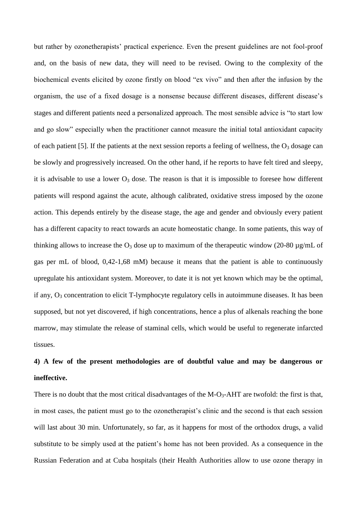but rather by ozonetherapists' practical experience. Even the present guidelines are not fool-proof and, on the basis of new data, they will need to be revised. Owing to the complexity of the biochemical events elicited by ozone firstly on blood "ex vivo" and then after the infusion by the organism, the use of a fixed dosage is a nonsense because different diseases, different disease's stages and different patients need a personalized approach. The most sensible advice is "to start low and go slow" especially when the practitioner cannot measure the initial total antioxidant capacity of each patient [5]. If the patients at the next session reports a feeling of wellness, the  $O_3$  dosage can be slowly and progressively increased. On the other hand, if he reports to have felt tired and sleepy, it is advisable to use a lower  $O_3$  dose. The reason is that it is impossible to foresee how different patients will respond against the acute, although calibrated, oxidative stress imposed by the ozone action. This depends entirely by the disease stage, the age and gender and obviously every patient has a different capacity to react towards an acute homeostatic change. In some patients, this way of thinking allows to increase the  $O_3$  dose up to maximum of the therapeutic window (20-80 µg/mL of gas per mL of blood, 0,42-1,68 mM) because it means that the patient is able to continuously upregulate his antioxidant system. Moreover, to date it is not yet known which may be the optimal, if any,  $O_3$  concentration to elicit T-lymphocyte regulatory cells in autoimmune diseases. It has been supposed, but not yet discovered, if high concentrations, hence a plus of alkenals reaching the bone marrow, may stimulate the release of staminal cells, which would be useful to regenerate infarcted tissues.

# **4) A few of the present methodologies are of doubtful value and may be dangerous or ineffective.**

There is no doubt that the most critical disadvantages of the  $M-O_3$ -AHT are twofold: the first is that, in most cases, the patient must go to the ozonetherapist's clinic and the second is that each session will last about 30 min. Unfortunately, so far, as it happens for most of the orthodox drugs, a valid substitute to be simply used at the patient's home has not been provided. As a consequence in the Russian Federation and at Cuba hospitals (their Health Authorities allow to use ozone therapy in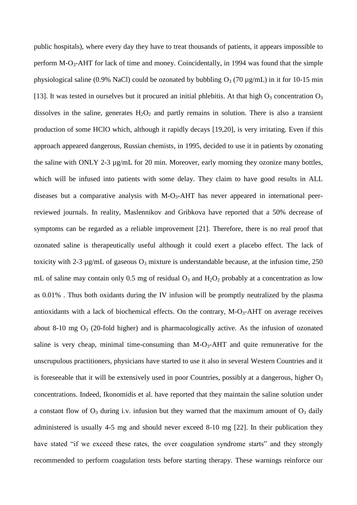public hospitals), where every day they have to treat thousands of patients, it appears impossible to perform  $M-O_3$ -AHT for lack of time and money. Coincidentally, in 1994 was found that the simple physiological saline (0.9% NaCl) could be ozonated by bubbling  $O_3$  (70 µg/mL) in it for 10-15 min [13]. It was tested in ourselves but it procured an initial phlebitis. At that high  $O_3$  concentration  $O_3$ dissolves in the saline, generates  $H_2O_2$  and partly remains in solution. There is also a transient production of some HClO which, although it rapidly decays [19,20], is very irritating. Even if this approach appeared dangerous, Russian chemists, in 1995, decided to use it in patients by ozonating the saline with ONLY 2-3 µg/mL for 20 min. Moreover, early morning they ozonize many bottles, which will be infused into patients with some delay. They claim to have good results in ALL diseases but a comparative analysis with  $M-O_3-AHT$  has never appeared in international peerreviewed journals. In reality, Maslennikov and Gribkova have reported that a 50% decrease of symptoms can be regarded as a reliable improvement [21]. Therefore, there is no real proof that ozonated saline is therapeutically useful although it could exert a placebo effect. The lack of toxicity with 2-3  $\mu$ g/mL of gaseous  $O_3$  mixture is understandable because, at the infusion time, 250 mL of saline may contain only 0.5 mg of residual  $O_3$  and  $H_2O_2$  probably at a concentration as low as 0.01% . Thus both oxidants during the IV infusion will be promptly neutralized by the plasma antioxidants with a lack of biochemical effects. On the contrary,  $M-O<sub>3</sub>-AHT$  on average receives about 8-10 mg  $O_3$  (20-fold higher) and is pharmacologically active. As the infusion of ozonated saline is very cheap, minimal time-consuming than  $M-O_3-AHT$  and quite remunerative for the unscrupulous practitioners, physicians have started to use it also in several Western Countries and it is foreseeable that it will be extensively used in poor Countries, possibly at a dangerous, higher  $O_3$ concentrations. Indeed, Ikonomidis et al. have reported that they maintain the saline solution under a constant flow of  $O_3$  during i.v. infusion but they warned that the maximum amount of  $O_3$  daily administered is usually 4-5 mg and should never exceed 8-10 mg [22]. In their publication they have stated "if we exceed these rates, the over coagulation syndrome starts" and they strongly recommended to perform coagulation tests before starting therapy. These warnings reinforce our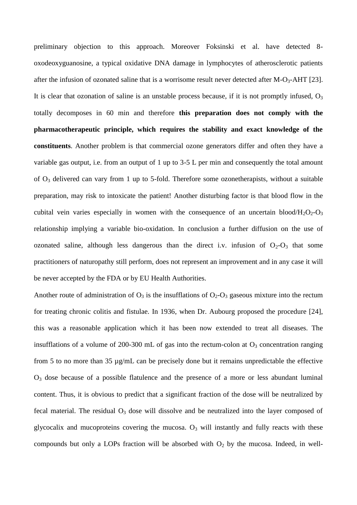preliminary objection to this approach. Moreover Foksinski et al. have detected 8 oxodeoxyguanosine, a typical oxidative DNA damage in lymphocytes of atherosclerotic patients after the infusion of ozonated saline that is a worrisome result never detected after  $M-O_3-AHT$  [23]. It is clear that ozonation of saline is an unstable process because, if it is not promptly infused,  $O_3$ totally decomposes in 60 min and therefore **this preparation does not comply with the pharmacotherapeutic principle, which requires the stability and exact knowledge of the constituents**. Another problem is that commercial ozone generators differ and often they have a variable gas output, i.e. from an output of 1 up to 3-5 L per min and consequently the total amount of O<sup>3</sup> delivered can vary from 1 up to 5-fold. Therefore some ozonetherapists, without a suitable preparation, may risk to intoxicate the patient! Another disturbing factor is that blood flow in the cubital vein varies especially in women with the consequence of an uncertain blood/ $H_2O_2-O_3$ relationship implying a variable bio-oxidation. In conclusion a further diffusion on the use of ozonated saline, although less dangerous than the direct i.v. infusion of  $O_2-O_3$  that some practitioners of naturopathy still perform, does not represent an improvement and in any case it will be never accepted by the FDA or by EU Health Authorities.

Another route of administration of  $O_3$  is the insufflations of  $O_2-O_3$  gaseous mixture into the rectum for treating chronic colitis and fistulae. In 1936, when Dr. Aubourg proposed the procedure [24], this was a reasonable application which it has been now extended to treat all diseases. The insufflations of a volume of 200-300 mL of gas into the rectum-colon at  $O_3$  concentration ranging from 5 to no more than 35 µg/mL can be precisely done but it remains unpredictable the effective  $O_3$  dose because of a possible flatulence and the presence of a more or less abundant luminal content. Thus, it is obvious to predict that a significant fraction of the dose will be neutralized by fecal material. The residual  $O_3$  dose will dissolve and be neutralized into the layer composed of glycocalix and mucoproteins covering the mucosa.  $O_3$  will instantly and fully reacts with these compounds but only a LOPs fraction will be absorbed with  $O<sub>2</sub>$  by the mucosa. Indeed, in well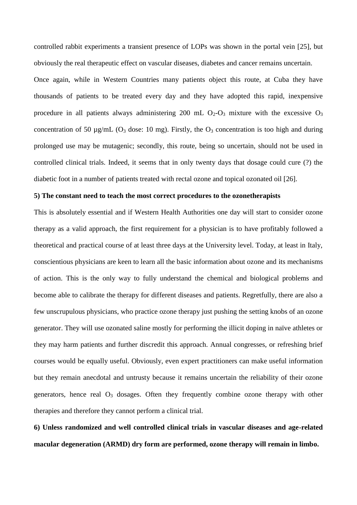controlled rabbit experiments a transient presence of LOPs was shown in the portal vein [25], but obviously the real therapeutic effect on vascular diseases, diabetes and cancer remains uncertain.

Once again, while in Western Countries many patients object this route, at Cuba they have thousands of patients to be treated every day and they have adopted this rapid, inexpensive procedure in all patients always administering 200 mL  $O_2-O_3$  mixture with the excessive  $O_3$ concentration of 50  $\mu$ g/mL (O<sub>3</sub> dose: 10 mg). Firstly, the O<sub>3</sub> concentration is too high and during prolonged use may be mutagenic; secondly, this route, being so uncertain, should not be used in controlled clinical trials. Indeed, it seems that in only twenty days that dosage could cure (?) the diabetic foot in a number of patients treated with rectal ozone and topical ozonated oil [26].

## **5) The constant need to teach the most correct procedures to the ozonetherapists**

This is absolutely essential and if Western Health Authorities one day will start to consider ozone therapy as a valid approach, the first requirement for a physician is to have profitably followed a theoretical and practical course of at least three days at the University level. Today, at least in Italy, conscientious physicians are keen to learn all the basic information about ozone and its mechanisms of action. This is the only way to fully understand the chemical and biological problems and become able to calibrate the therapy for different diseases and patients. Regretfully, there are also a few unscrupulous physicians, who practice ozone therapy just pushing the setting knobs of an ozone generator. They will use ozonated saline mostly for performing the illicit doping in naïve athletes or they may harm patients and further discredit this approach. Annual congresses, or refreshing brief courses would be equally useful. Obviously, even expert practitioners can make useful information but they remain anecdotal and untrusty because it remains uncertain the reliability of their ozone generators, hence real  $O_3$  dosages. Often they frequently combine ozone therapy with other therapies and therefore they cannot perform a clinical trial.

**6) Unless randomized and well controlled clinical trials in vascular diseases and age-related macular degeneration (ARMD) dry form are performed, ozone therapy will remain in limbo.**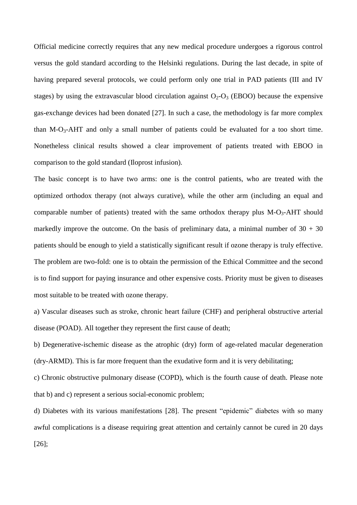Official medicine correctly requires that any new medical procedure undergoes a rigorous control versus the gold standard according to the Helsinki regulations. During the last decade, in spite of having prepared several protocols, we could perform only one trial in PAD patients (III and IV stages) by using the extravascular blood circulation against  $O_2-O_3$  (EBOO) because the expensive gas-exchange devices had been donated [27]. In such a case, the methodology is far more complex than M-O<sub>3</sub>-AHT and only a small number of patients could be evaluated for a too short time. Nonetheless clinical results showed a clear improvement of patients treated with EBOO in comparison to the gold standard (Iloprost infusion).

The basic concept is to have two arms: one is the control patients, who are treated with the optimized orthodox therapy (not always curative), while the other arm (including an equal and comparable number of patients) treated with the same orthodox therapy plus  $M-O<sub>3</sub>-AHT$  should markedly improve the outcome. On the basis of preliminary data, a minimal number of  $30 + 30$ patients should be enough to yield a statistically significant result if ozone therapy is truly effective. The problem are two-fold: one is to obtain the permission of the Ethical Committee and the second is to find support for paying insurance and other expensive costs. Priority must be given to diseases most suitable to be treated with ozone therapy.

a) Vascular diseases such as stroke, chronic heart failure (CHF) and peripheral obstructive arterial disease (POAD). All together they represent the first cause of death;

b) Degenerative-ischemic disease as the atrophic (dry) form of age-related macular degeneration (dry-ARMD). This is far more frequent than the exudative form and it is very debilitating;

c) Chronic obstructive pulmonary disease (COPD), which is the fourth cause of death. Please note that b) and c) represent a serious social-economic problem;

d) Diabetes with its various manifestations [28]. The present "epidemic" diabetes with so many awful complications is a disease requiring great attention and certainly cannot be cured in 20 days [26];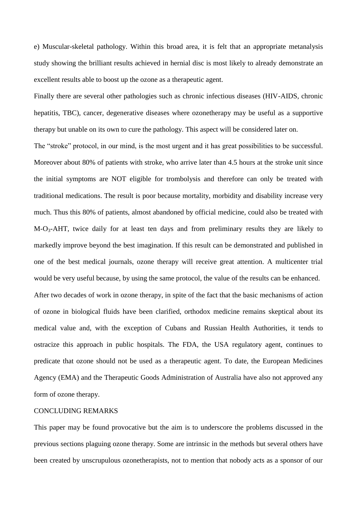e) Muscular-skeletal pathology. Within this broad area, it is felt that an appropriate metanalysis study showing the brilliant results achieved in hernial disc is most likely to already demonstrate an excellent results able to boost up the ozone as a therapeutic agent.

Finally there are several other pathologies such as chronic infectious diseases (HIV-AIDS, chronic hepatitis, TBC), cancer, degenerative diseases where ozonetherapy may be useful as a supportive therapy but unable on its own to cure the pathology. This aspect will be considered later on.

The "stroke" protocol, in our mind, is the most urgent and it has great possibilities to be successful. Moreover about 80% of patients with stroke, who arrive later than 4.5 hours at the stroke unit since the initial symptoms are NOT eligible for trombolysis and therefore can only be treated with traditional medications. The result is poor because mortality, morbidity and disability increase very much. Thus this 80% of patients, almost abandoned by official medicine, could also be treated with M-O3-AHT, twice daily for at least ten days and from preliminary results they are likely to markedly improve beyond the best imagination. If this result can be demonstrated and published in one of the best medical journals, ozone therapy will receive great attention. A multicenter trial would be very useful because, by using the same protocol, the value of the results can be enhanced.

After two decades of work in ozone therapy, in spite of the fact that the basic mechanisms of action of ozone in biological fluids have been clarified, orthodox medicine remains skeptical about its medical value and, with the exception of Cubans and Russian Health Authorities, it tends to ostracize this approach in public hospitals. The FDA, the USA regulatory agent, continues to predicate that ozone should not be used as a therapeutic agent. To date, the European Medicines Agency (EMA) and the Therapeutic Goods Administration of Australia have also not approved any form of ozone therapy.

## CONCLUDING REMARKS

This paper may be found provocative but the aim is to underscore the problems discussed in the previous sections plaguing ozone therapy. Some are intrinsic in the methods but several others have been created by unscrupulous ozonetherapists, not to mention that nobody acts as a sponsor of our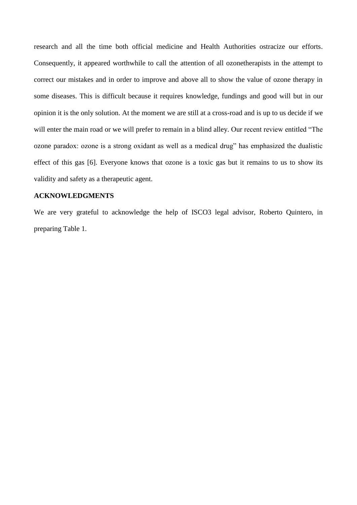research and all the time both official medicine and Health Authorities ostracize our efforts. Consequently, it appeared worthwhile to call the attention of all ozonetherapists in the attempt to correct our mistakes and in order to improve and above all to show the value of ozone therapy in some diseases. This is difficult because it requires knowledge, fundings and good will but in our opinion it is the only solution. At the moment we are still at a cross-road and is up to us decide if we will enter the main road or we will prefer to remain in a blind alley. Our recent review entitled "The ozone paradox: ozone is a strong oxidant as well as a medical drug" has emphasized the dualistic effect of this gas [6]. Everyone knows that ozone is a toxic gas but it remains to us to show its validity and safety as a therapeutic agent.

## **ACKNOWLEDGMENTS**

We are very grateful to acknowledge the help of ISCO3 legal advisor, Roberto Quintero, in preparing Table 1.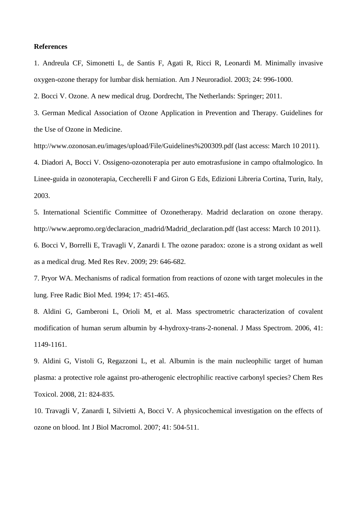## **References**

1. Andreula CF, Simonetti L, de Santis F, Agati R, Ricci R, Leonardi M. Minimally invasive oxygen-ozone therapy for lumbar disk herniation. Am J Neuroradiol. 2003; 24: 996-1000.

2. Bocci V. Ozone. A new medical drug*.* Dordrecht, The Netherlands: Springer; 2011.

3. German Medical Association of Ozone Application in Prevention and Therapy. Guidelines for the Use of Ozone in Medicine.

http://www.ozonosan.eu/images/upload/File/Guidelines%200309.pdf (last access: March 10 2011).

4. Diadori A, Bocci V. Ossigeno-ozonoterapia per auto emotrasfusione in campo oftalmologico. In Linee-guida in ozonoterapia, Ceccherelli F and Giron G Eds, Edizioni Libreria Cortina, Turin, Italy, 2003.

5. International Scientific Committee of Ozonetherapy. Madrid declaration on ozone therapy. http://www.aepromo.org/declaracion\_madrid/Madrid\_declaration.pdf (last access: March 10 2011). 6. Bocci V, Borrelli E, Travagli V, Zanardi I. The ozone paradox: ozone is a strong oxidant as well as a medical drug. Med Res Rev. 2009; 29: 646-682.

7. Pryor WA. Mechanisms of radical formation from reactions of ozone with target molecules in the lung. Free Radic Biol Med. 1994; 17: 451-465.

8. Aldini G, Gamberoni L, Orioli M, et al. Mass spectrometric characterization of covalent modification of human serum albumin by 4-hydroxy-trans-2-nonenal. J Mass Spectrom. 2006, 41: 1149-1161.

9. Aldini G, Vistoli G, Regazzoni L, et al. Albumin is the main nucleophilic target of human plasma: a protective role against pro-atherogenic electrophilic reactive carbonyl species? Chem Res Toxicol. 2008, 21: 824-835.

10. Travagli V, Zanardi I, Silvietti A, Bocci V. A physicochemical investigation on the effects of ozone on blood. Int J Biol Macromol. 2007; 41: 504-511.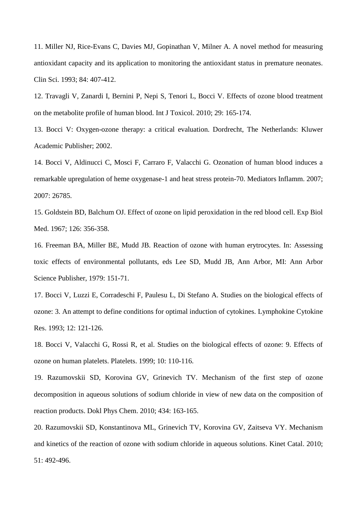11. Miller NJ, Rice-Evans C, Davies MJ, Gopinathan V, Milner A. A novel method for measuring antioxidant capacity and its application to monitoring the antioxidant status in premature neonates. Clin Sci. 1993; 84: 407-412.

12. Travagli V, Zanardi I, Bernini P, Nepi S, Tenori L, Bocci V. Effects of ozone blood treatment on the metabolite profile of human blood. Int J Toxicol. 2010; 29: 165-174.

13. Bocci V: Oxygen-ozone therapy: a critical evaluation. Dordrecht, The Netherlands: Kluwer Academic Publisher; 2002.

14. Bocci V, Aldinucci C, Mosci F, Carraro F, Valacchi G. Ozonation of human blood induces a remarkable upregulation of heme oxygenase-1 and heat stress protein-70. Mediators Inflamm. 2007; 2007: 26785.

15. Goldstein BD, Balchum OJ. Effect of ozone on lipid peroxidation in the red blood cell. Exp Biol Med. 1967; 126: 356-358.

16. Freeman BA, Miller BE, Mudd JB. Reaction of ozone with human erytrocytes. In: Assessing toxic effects of environmental pollutants, eds Lee SD, Mudd JB, Ann Arbor, MI: Ann Arbor Science Publisher, 1979: 151-71.

17. Bocci V, Luzzi E, Corradeschi F, Paulesu L, Di Stefano A. Studies on the biological effects of ozone: 3. An attempt to define conditions for optimal induction of cytokines. Lymphokine Cytokine Res. 1993; 12: 121-126.

18. Bocci V, Valacchi G, Rossi R, et al. Studies on the biological effects of ozone: 9. Effects of ozone on human platelets. Platelets. 1999; 10: 110-116.

19. Razumovskii SD, Korovina GV, Grinevich TV. Mechanism of the first step of ozone decomposition in aqueous solutions of sodium chloride in view of new data on the composition of reaction products. Dokl Phys Chem. 2010; 434: 163-165.

20. Razumovskii SD, Konstantinova ML, Grinevich TV, Korovina GV, Zaitseva VY. Mechanism and kinetics of the reaction of ozone with sodium chloride in aqueous solutions. Kinet Catal. 2010; 51: 492-496.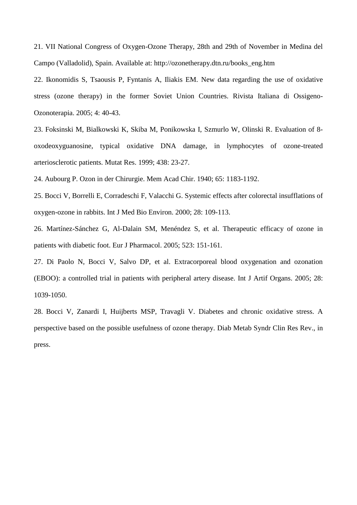21. VII National Congress of Oxygen-Ozone Therapy, 28th and 29th of November in Medina del Campo (Valladolid), Spain. Available at: http://ozonetherapy.dtn.ru/books\_eng.htm

22. Ikonomidis S, Tsaousis P, Fyntanis A, Iliakis EM. New data regarding the use of oxidative stress (ozone therapy) in the former Soviet Union Countries. Rivista Italiana di Ossigeno-Ozonoterapia. 2005; 4: 40-43.

23. Foksinski M, Bialkowski K, Skiba M, Ponikowska I, Szmurlo W, Olinski R. Evaluation of 8 oxodeoxyguanosine, typical oxidative DNA damage, in lymphocytes of ozone-treated arteriosclerotic patients. Mutat Res. 1999; 438: 23-27.

24. Aubourg P. Ozon in der Chirurgie. Mem Acad Chir. 1940; 65: 1183-1192.

25. Bocci V, Borrelli E, Corradeschi F, Valacchi G. Systemic effects after colorectal insufflations of oxygen-ozone in rabbits. Int J Med Bio Environ. 2000; 28: 109-113.

26. Martínez-Sánchez G, Al-Dalain SM, Menéndez S, et al. Therapeutic efficacy of ozone in patients with diabetic foot. Eur J Pharmacol. 2005; 523: 151-161.

27. Di Paolo N, Bocci V, Salvo DP, et al. Extracorporeal blood oxygenation and ozonation (EBOO): a controlled trial in patients with peripheral artery disease. Int J Artif Organs. 2005; 28: 1039-1050.

28. Bocci V, Zanardi I, Huijberts MSP, Travagli V. Diabetes and chronic oxidative stress. A perspective based on the possible usefulness of ozone therapy. Diab Metab Syndr Clin Res Rev., in press.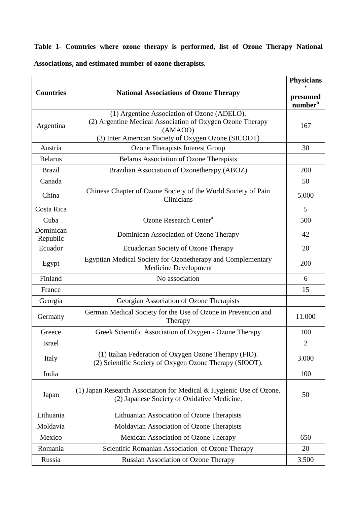**Table 1- Countries where ozone therapy is performed, list of Ozone Therapy National Associations, and estimated number of ozone therapists.**

|                       |                                                                                                                                                                            | <b>Physicians</b>               |
|-----------------------|----------------------------------------------------------------------------------------------------------------------------------------------------------------------------|---------------------------------|
| <b>Countries</b>      | <b>National Associations of Ozone Therapy</b>                                                                                                                              | presumed<br>number <sup>b</sup> |
| Argentina             | (1) Argentine Association of Ozone (ADELO).<br>(2) Argentine Medical Association of Oxygen Ozone Therapy<br>(AMAOO)<br>(3) Inter American Society of Oxygen Ozone (SICOOT) | 167                             |
| Austria               | Ozone Therapists Interest Group                                                                                                                                            | 30                              |
| <b>Belarus</b>        | <b>Belarus Association of Ozone Therapists</b>                                                                                                                             |                                 |
| <b>Brazil</b>         | Brazilian Association of Ozonetherapy (ABOZ)                                                                                                                               | 200                             |
| Canada                |                                                                                                                                                                            | 50                              |
| China                 | Chinese Chapter of Ozone Society of the World Society of Pain<br>Clinicians                                                                                                | 5.000                           |
| Costa Rica            |                                                                                                                                                                            | 5                               |
| Cuba                  | Ozone Research Center <sup>a</sup>                                                                                                                                         | 500                             |
| Dominican<br>Republic | Dominican Association of Ozone Therapy                                                                                                                                     | 42                              |
| Ecuador               | Ecuadorian Society of Ozone Therapy                                                                                                                                        | 20                              |
| Egypt                 | Egyptian Medical Society for Ozonetherapy and Complementary<br><b>Medicine Development</b>                                                                                 | 200                             |
| Finland               | No association                                                                                                                                                             | 6                               |
| France                |                                                                                                                                                                            | 15                              |
| Georgia               | Georgian Association of Ozone Therapists                                                                                                                                   |                                 |
| Germany               | German Medical Society for the Use of Ozone in Prevention and<br>Therapy                                                                                                   | 11.000                          |
| Greece                | Greek Scientific Association of Oxygen - Ozone Therapy                                                                                                                     | 100                             |
| Israel                |                                                                                                                                                                            | $\mathbf{2}$                    |
| Italy                 | (1) Italian Federation of Oxygen Ozone Therapy (FIO).<br>(2) Scientific Society of Oxygen Ozone Therapy (SIOOT).                                                           | 3.000                           |
| India                 |                                                                                                                                                                            | 100                             |
| Japan                 | (1) Japan Research Association for Medical & Hygienic Use of Ozone.<br>(2) Japanese Society of Oxidative Medicine.                                                         | 50                              |
| Lithuania             | Lithuanian Association of Ozone Therapists                                                                                                                                 |                                 |
| Moldavia              | Moldavian Association of Ozone Therapists                                                                                                                                  |                                 |
| Mexico                | Mexican Association of Ozone Therapy                                                                                                                                       | 650                             |
| Romania               | Scientific Romanian Association of Ozone Therapy                                                                                                                           | 20                              |
| Russia                | <b>Russian Association of Ozone Therapy</b>                                                                                                                                | 3.500                           |